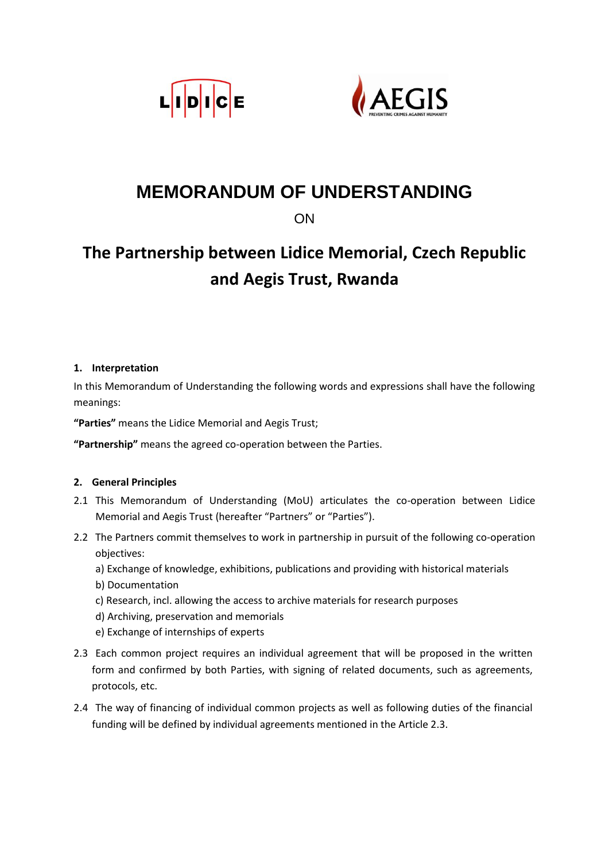



# **MEMORANDUM OF UNDERSTANDING**

**ON** 

# **The Partnership between Lidice Memorial, Czech Republic and Aegis Trust, Rwanda**

# **1. Interpretation**

In this Memorandum of Understanding the following words and expressions shall have the following meanings:

**"Parties"** means the Lidice Memorial and Aegis Trust;

**"Partnership"** means the agreed co-operation between the Parties.

# **2. General Principles**

- 2.1 This Memorandum of Understanding (MoU) articulates the co-operation between Lidice Memorial and Aegis Trust (hereafter "Partners" or "Parties").
- 2.2 The Partners commit themselves to work in partnership in pursuit of the following co-operation objectives:
	- a) Exchange of knowledge, exhibitions, publications and providing with historical materials
	- b) Documentation
	- c) Research, incl. allowing the access to archive materials for research purposes
	- d) Archiving, preservation and memorials
	- e) Exchange of internships of experts
- 2.3 Each common project requires an individual agreement that will be proposed in the written form and confirmed by both Parties, with signing of related documents, such as agreements, protocols, etc.
- 2.4 The way of financing of individual common projects as well as following duties of the financial funding will be defined by individual agreements mentioned in the Article 2.3.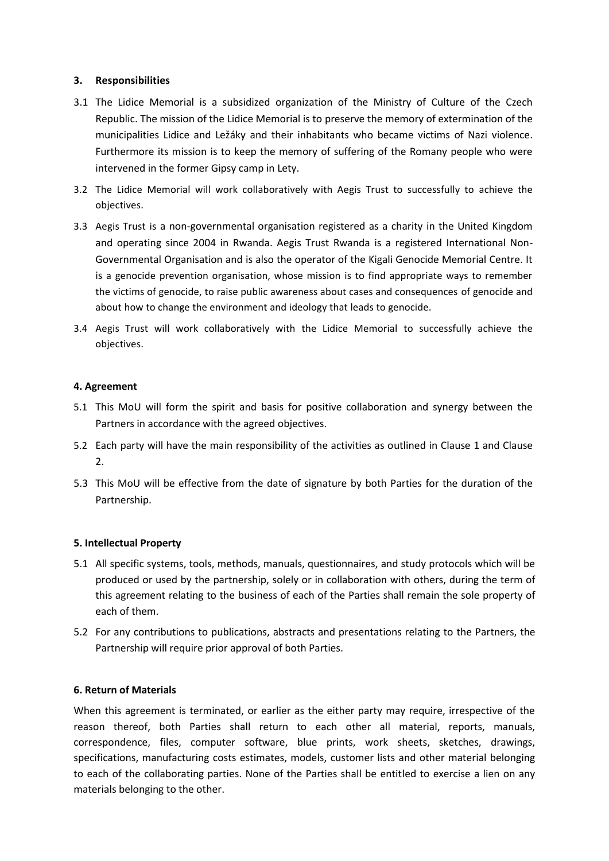#### **3. Responsibilities**

- 3.1 The Lidice Memorial is a subsidized organization of the Ministry of Culture of the Czech Republic. The mission of the Lidice Memorial is to preserve the memory of extermination of the municipalities Lidice and Ležáky and their inhabitants who became victims of Nazi violence. Furthermore its mission is to keep the memory of suffering of the Romany people who were intervened in the former Gipsy camp in Lety.
- 3.2 The Lidice Memorial will work collaboratively with Aegis Trust to successfully to achieve the objectives.
- 3.3 Aegis Trust is a non-governmental organisation registered as a charity in the United Kingdom and operating since 2004 in Rwanda. Aegis Trust Rwanda is a registered International Non-Governmental Organisation and is also the operator of the Kigali Genocide Memorial Centre. It is a genocide prevention organisation, whose mission is to find appropriate ways to remember the victims of genocide, to raise public awareness about cases and consequences of genocide and about how to change the environment and ideology that leads to genocide.
- 3.4 Aegis Trust will work collaboratively with the Lidice Memorial to successfully achieve the objectives.

#### **4. Agreement**

- 5.1 This MoU will form the spirit and basis for positive collaboration and synergy between the Partners in accordance with the agreed objectives.
- 5.2 Each party will have the main responsibility of the activities as outlined in Clause 1 and Clause 2.
- 5.3 This MoU will be effective from the date of signature by both Parties for the duration of the Partnership.

#### **5. Intellectual Property**

- 5.1 All specific systems, tools, methods, manuals, questionnaires, and study protocols which will be produced or used by the partnership, solely or in collaboration with others, during the term of this agreement relating to the business of each of the Parties shall remain the sole property of each of them.
- 5.2 For any contributions to publications, abstracts and presentations relating to the Partners, the Partnership will require prior approval of both Parties.

#### **6. Return of Materials**

When this agreement is terminated, or earlier as the either party may require, irrespective of the reason thereof, both Parties shall return to each other all material, reports, manuals, correspondence, files, computer software, blue prints, work sheets, sketches, drawings, specifications, manufacturing costs estimates, models, customer lists and other material belonging to each of the collaborating parties. None of the Parties shall be entitled to exercise a lien on any materials belonging to the other.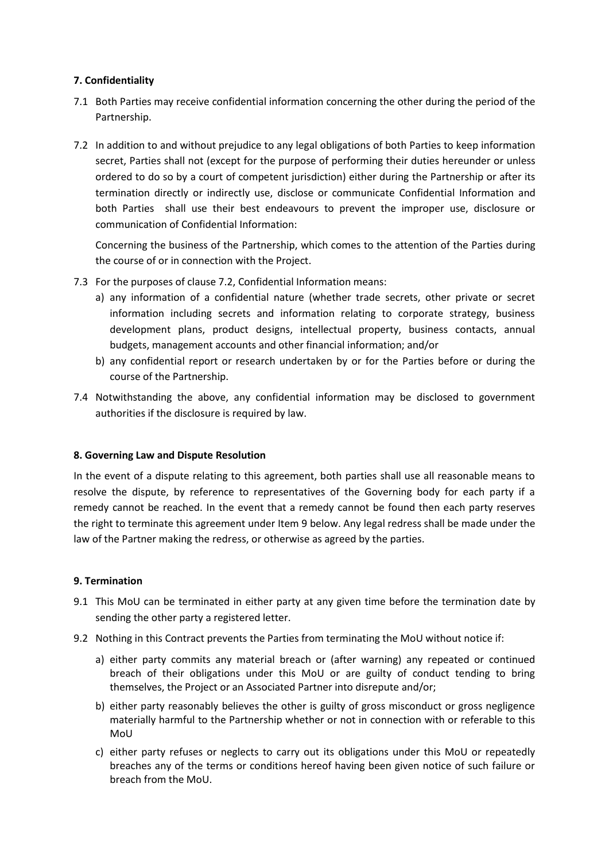### **7. Confidentiality**

- 7.1 Both Parties may receive confidential information concerning the other during the period of the Partnership.
- 7.2 In addition to and without prejudice to any legal obligations of both Parties to keep information secret, Parties shall not (except for the purpose of performing their duties hereunder or unless ordered to do so by a court of competent jurisdiction) either during the Partnership or after its termination directly or indirectly use, disclose or communicate Confidential Information and both Parties shall use their best endeavours to prevent the improper use, disclosure or communication of Confidential Information:

Concerning the business of the Partnership, which comes to the attention of the Parties during the course of or in connection with the Project.

- 7.3 For the purposes of clause 7.2, Confidential Information means:
	- a) any information of a confidential nature (whether trade secrets, other private or secret information including secrets and information relating to corporate strategy, business development plans, product designs, intellectual property, business contacts, annual budgets, management accounts and other financial information; and/or
	- b) any confidential report or research undertaken by or for the Parties before or during the course of the Partnership.
- 7.4 Notwithstanding the above, any confidential information may be disclosed to government authorities if the disclosure is required by law.

#### **8. Governing Law and Dispute Resolution**

In the event of a dispute relating to this agreement, both parties shall use all reasonable means to resolve the dispute, by reference to representatives of the Governing body for each party if a remedy cannot be reached. In the event that a remedy cannot be found then each party reserves the right to terminate this agreement under Item 9 below. Any legal redress shall be made under the law of the Partner making the redress, or otherwise as agreed by the parties.

# **9. Termination**

- 9.1 This MoU can be terminated in either party at any given time before the termination date by sending the other party a registered letter.
- 9.2 Nothing in this Contract prevents the Parties from terminating the MoU without notice if:
	- a) either party commits any material breach or (after warning) any repeated or continued breach of their obligations under this MoU or are guilty of conduct tending to bring themselves, the Project or an Associated Partner into disrepute and/or;
	- b) either party reasonably believes the other is guilty of gross misconduct or gross negligence materially harmful to the Partnership whether or not in connection with or referable to this MoU
	- c) either party refuses or neglects to carry out its obligations under this MoU or repeatedly breaches any of the terms or conditions hereof having been given notice of such failure or breach from the MoU.